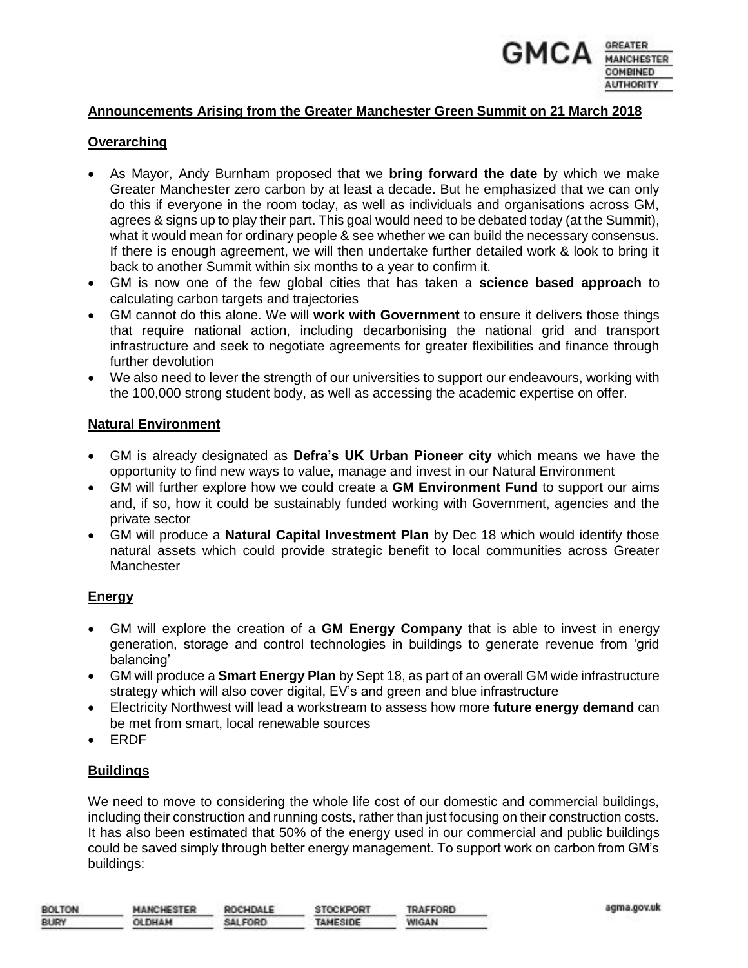

## **Announcements Arising from the Greater Manchester Green Summit on 21 March 2018**

#### **Overarching**

- As Mayor, Andy Burnham proposed that we **bring forward the date** by which we make Greater Manchester zero carbon by at least a decade. But he emphasized that we can only do this if everyone in the room today, as well as individuals and organisations across GM, agrees & signs up to play their part. This goal would need to be debated today (at the Summit), what it would mean for ordinary people & see whether we can build the necessary consensus. If there is enough agreement, we will then undertake further detailed work & look to bring it back to another Summit within six months to a year to confirm it.
- GM is now one of the few global cities that has taken a **science based approach** to calculating carbon targets and trajectories
- GM cannot do this alone. We will **work with Government** to ensure it delivers those things that require national action, including decarbonising the national grid and transport infrastructure and seek to negotiate agreements for greater flexibilities and finance through further devolution
- We also need to lever the strength of our universities to support our endeavours, working with the 100,000 strong student body, as well as accessing the academic expertise on offer.

#### **Natural Environment**

- GM is already designated as **Defra's UK Urban Pioneer city** which means we have the opportunity to find new ways to value, manage and invest in our Natural Environment
- GM will further explore how we could create a **GM Environment Fund** to support our aims and, if so, how it could be sustainably funded working with Government, agencies and the private sector
- GM will produce a **Natural Capital Investment Plan** by Dec 18 which would identify those natural assets which could provide strategic benefit to local communities across Greater **Manchester**

### **Energy**

- GM will explore the creation of a **GM Energy Company** that is able to invest in energy generation, storage and control technologies in buildings to generate revenue from 'grid balancing'
- GM will produce a **Smart Energy Plan** by Sept 18, as part of an overall GM wide infrastructure strategy which will also cover digital, EV's and green and blue infrastructure
- Electricity Northwest will lead a workstream to assess how more **future energy demand** can be met from smart, local renewable sources
- ERDF

### **Buildings**

We need to move to considering the whole life cost of our domestic and commercial buildings, including their construction and running costs, rather than just focusing on their construction costs. It has also been estimated that 50% of the energy used in our commercial and public buildings could be saved simply through better energy management. To support work on carbon from GM's buildings:

| <b>BOLTON</b> | <b>MANCHESTER</b> | ROCHDALE | <b>STOCKPORT</b> | TRAFFORD     |
|---------------|-------------------|----------|------------------|--------------|
| <b>BURY</b>   | <b>OLDHAM</b>     | SALFORD  | TAMESIDE         | <b>WIGAN</b> |